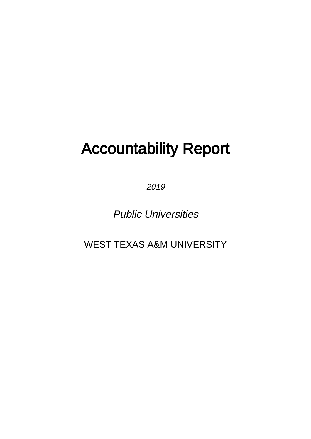# Accountability Report

2019

Public Universities

WEST TEXAS A&M UNIVERSITY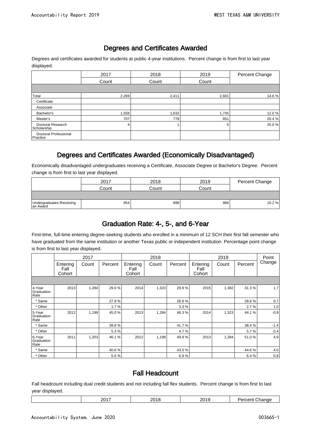#### Degrees and Certificates Awarded

Degrees and certificates awarded for students at public 4-year institutions. Percent change is from first to last year displayed.

|                                   | 2017  | 2018  | 2019  | Percent Change |
|-----------------------------------|-------|-------|-------|----------------|
|                                   | Count | Count | Count |                |
|                                   |       |       |       |                |
| Total                             | 2,269 | 2,411 | 2,601 | 14.6%          |
| Certificate                       |       |       |       |                |
| Associate                         |       |       |       |                |
| Bachelor's                        | 1,558 | 1,632 | 1,745 | 12.0%          |
| Master's                          | 707   | 778   | 851   | 20.4 %         |
| Doctoral Research<br>Scholarship  | 4     |       | 5     | 25.0%          |
| Doctoral Professional<br>Practice |       |       |       |                |

#### Degrees and Certificates Awarded (Economically Disadvantaged)

Economically disadvantaged undergraduates receiving a Certificate, Associate Degree or Bachelor's Degree. Percent change is from first to last year displayed.

|                                       | 2017  | 2018  | 2019  | Percent Change |
|---------------------------------------|-------|-------|-------|----------------|
|                                       | Count | Count | Count |                |
|                                       |       |       |       |                |
| Undergraduates Receiving<br>Ian Award | 854   | 898   | 984   | 15.2 %         |

#### Graduation Rate: 4-, 5-, and 6-Year

First-time, full-time entering degree-seeking students who enrolled in a minimum of 12 SCH their first fall semester who have graduated from the same institution or another Texas public or independent institution. Percentage point change is from first to last year displayed.

|                              |                            | 2017  |         |                            | 2018  |         |                            | 2019  |         | Point  |
|------------------------------|----------------------------|-------|---------|----------------------------|-------|---------|----------------------------|-------|---------|--------|
|                              | Entering<br>Fall<br>Cohort | Count | Percent | Entering<br>Fall<br>Cohort | Count | Percent | Entering<br>Fall<br>Cohort | Count | Percent | Change |
|                              |                            |       |         |                            |       |         |                            |       |         |        |
| 4-Year<br>Graduation<br>Rate | 2013                       | 1,284 | 29.6%   | 2014                       | 1,323 | 29.9%   | 2015                       | 1,382 | 31.3%   | 1.7    |
| * Same                       |                            |       | 27.9%   |                            |       | 26.6%   |                            |       | 28.6%   | 0.7    |
| * Other                      |                            |       | 1.7%    |                            |       | 3.3%    |                            |       | 2.7%    | 1.0    |
| 5-Year<br>Graduation<br>Rate | 2012                       | 1,199 | 45.0%   | 2013                       | 1,284 | 46.3%   | 2014                       | 1,323 | 44.1%   | $-0.9$ |
| * Same                       |                            |       | 39.8%   |                            |       | 41.7%   |                            |       | 38.4%   | $-1.4$ |
| * Other                      |                            |       | 5.3%    |                            |       | 4.7%    |                            |       | 5.7%    | 0.4    |
| 6-Year<br>Graduation<br>Rate | 2011                       | 1,203 | 46.1%   | 2012                       | 1,199 | 49.9%   | 2013                       | 1,284 | 51.0%   | 4.9    |
| * Same                       |                            |       | 40.6%   |                            |       | 43.0%   |                            |       | 44.6%   | 4.0    |
| * Other                      |                            |       | 5.6%    |                            |       | 6.9%    |                            |       | 6.4%    | 0.8    |

#### Fall Headcount

Fall headcount including dual credit students and not including fall flex students. Percent change is from first to last year displayed.

| $\cdot$ $-$<br>nn.<br>ה ה<br>$-$ |
|----------------------------------|
|----------------------------------|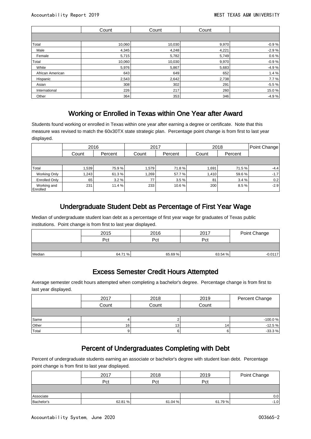|                  | Count  | Count  | Count |         |
|------------------|--------|--------|-------|---------|
|                  |        |        |       |         |
| Total            | 10,060 | 10,030 | 9,970 | $-0.9%$ |
| Male             | 4,345  | 4,248  | 4,221 | $-2.9%$ |
| Female           | 5,715  | 5,782  | 5,749 | 0.6%    |
| Total            | 10,060 | 10,030 | 9,970 | $-0.9%$ |
| White            | 5,976  | 5,867  | 5,683 | $-4.9%$ |
| African American | 643    | 649    | 652   | 1.4%    |
| Hispanic         | 2,543  | 2,642  | 2,738 | 7.7%    |
| Asian            | 308    | 302    | 291   | $-5.5%$ |
| International    | 226    | 217    | 260   | 15.0%   |
| Other            | 364    | 353    | 346   | $-4.9%$ |

#### Working or Enrolled in Texas within One Year after Award

Students found working or enrolled in Texas within one year after earning a degree or certificate. Note that this measure was revised to match the 60x30TX state strategic plan. Percentage point change is from first to last year displayed.

|                         | 2016  |         | 2017  |         | 2018  | Point Change |        |
|-------------------------|-------|---------|-------|---------|-------|--------------|--------|
|                         | Count | Percent | Count | Percent | Count | Percent      |        |
|                         |       |         |       |         |       |              |        |
| Total                   | 1,539 | 75.9%   | .579  | 71.8%   | 1,691 | 71.5 %       | $-4.4$ |
| <b>Working Only</b>     | 1,243 | 61.3%   | .269  | 57.7 %  | 1,410 | 59.6%        | $-1.7$ |
| <b>Enrolled Only</b>    | 65 l  | 3.2%    | 77    | 3.5%    | 81    | 3.4%         | 0.2    |
| Working and<br>Enrolled | 231   | 11.4 %  | 233   | 10.6%   | 200   | 8.5%         | $-2.9$ |

### Undergraduate Student Debt as Percentage of First Year Wage

Median of undergraduate student loan debt as a percentage of first year wage for graduates of Texas public institutions. Point change is from first to last year displayed.

|        | 2015    | 2016    | 2017    | Point Change |  |
|--------|---------|---------|---------|--------------|--|
|        | Pct     | Pct     | Pct     |              |  |
|        |         |         |         |              |  |
| Median | 64.71 % | 65.69 % | 63.54 % | $-0.0117$    |  |

#### Excess Semester Credit Hours Attempted

Average semester credit hours attempted when completing a bachelor's degree. Percentage change is from first to last year displayed.

|       | 2017  | 2018            | 2019  | Percent Change |
|-------|-------|-----------------|-------|----------------|
|       | Count | Count           | Count |                |
|       |       |                 |       |                |
| Same  |       |                 |       | $-100.0%$      |
| Other | 16    | 13 <sub>1</sub> | 14    | $-12.5%$       |
| Total |       | h               |       | $-33.3%$       |

#### Percent of Undergraduates Completing with Debt

Percent of undergraduate students earning an associate or bachelor's degree with student loan debt. Percentage point change is from first to last year displayed.

|            | 2017    | 2018    | 2019    | Point Change |
|------------|---------|---------|---------|--------------|
|            | Pct     | Pct     | Pct     |              |
|            |         |         |         |              |
| Associate  |         |         |         | 0.0          |
| Bachelor's | 62.81 % | 61.04 % | 61.79 % | $-1.0$       |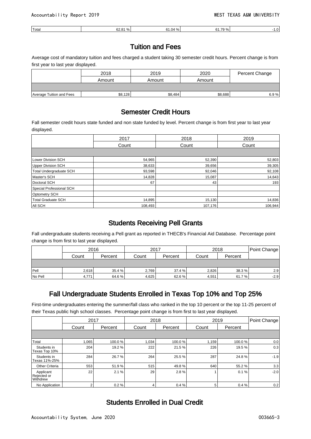| 'Total | 52.81 % | $\Omega$<br>∵ 04. ان<br>% | 04.70.01<br>% |  |
|--------|---------|---------------------------|---------------|--|
|        |         |                           |               |  |

#### Tuition and Fees

Average cost of mandatory tuition and fees charged a student taking 30 semester credit hours. Percent change is from first year to last year displayed.

|                          | 2018    | 2019    | 2020    | Percent Change |
|--------------------------|---------|---------|---------|----------------|
|                          | Amount  | Amount  | Amount  |                |
|                          |         |         |         |                |
| Average Tuition and Fees | \$8,128 | \$8,484 | \$8,688 | 6.9%           |

#### Semester Credit Hours

Fall semester credit hours state funded and non state funded by level. Percent change is from first year to last year displayed.

|                           | 2017    | 2018    | 2019    |  |
|---------------------------|---------|---------|---------|--|
|                           | Count   | Count   | Count   |  |
|                           |         |         |         |  |
| <b>Lower Division SCH</b> | 54,965  | 52,390  | 52,803  |  |
| <b>Upper Division SCH</b> | 38,633  | 39,656  | 39,305  |  |
| Total Undergraduate SCH   | 93,598  | 92,046  | 92,108  |  |
| Master's SCH              | 14,828  | 15,087  | 14,643  |  |
| Doctoral SCH              | 67      | 43      | 193     |  |
| Special Professional SCH  |         |         |         |  |
| <b>Optometry SCH</b>      |         |         |         |  |
| <b>Total Graduate SCH</b> | 14,895  | 15,130  | 14,836  |  |
| All SCH                   | 108,493 | 107,176 | 106,944 |  |

#### Students Receiving Pell Grants

Fall undergraduate students receiving a Pell grant as reported in THECB's Financial Aid Database. Percentage point change is from first to last year displayed.

|          | 2016  |         | 2017  |         | 2018  | Point Change |        |
|----------|-------|---------|-------|---------|-------|--------------|--------|
|          | Count | Percent | Count | Percent | Count | Percent      |        |
|          |       |         |       |         |       |              |        |
| $ $ Pell | 2,618 | 35.4 %  | 2,769 | 37.4 %  | 2,826 | 38.3%        | 2.9    |
| No Pell  | 4,771 | 64.6 %  | 4,625 | 62.6%   | 4,551 | 61.7%        | $-2.9$ |

#### Fall Undergraduate Students Enrolled in Texas Top 10% and Top 25%

First-time undergraduates entering the summer/fall class who ranked in the top 10 percent or the top 11-25 percent of their Texas public high school classes. Percentage point change is from first to last year displayed.

|                                      | 2017           |         |       | 2018    |       | 2019    | Point Change |
|--------------------------------------|----------------|---------|-------|---------|-------|---------|--------------|
|                                      | Count          | Percent | Count | Percent | Count | Percent |              |
|                                      |                |         |       |         |       |         |              |
| Total                                | 1,065          | 100.0%  | 1,034 | 100.0%  | 1,159 | 100.0%  | 0.0          |
| Students in<br>Texas Top 10%         | 204            | 19.2%   | 222   | 21.5 %  | 226   | 19.5%   | 0.3          |
| Students in<br>Texas 11%-25%         | 284            | 26.7%   | 264   | 25.5 %  | 287   | 24.8%   | $-1.9$       |
| <b>Other Criteria</b>                | 553            | 51.9%   | 515   | 49.8%   | 640   | 55.2 %  | 3.3          |
| Applicant<br>Rejected or<br>Withdrew | 22             | 2.1%    | 29    | 2.8%    |       | 0.1%    | $-2.0$       |
| No Application                       | 2 <sub>1</sub> | 0.2%    | 4     | 0.4%    | 5     | 0.4%    | 0.2          |

#### Students Enrolled in Dual Credit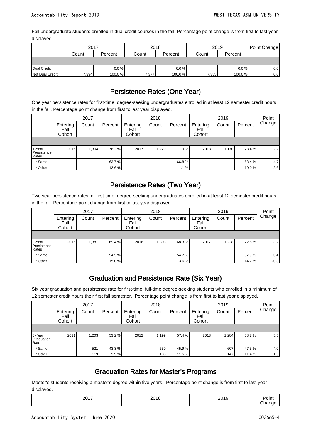Fall undergraduate students enrolled in dual credit courses in the fall. Percentage point change is from first to last year displayed.

|                 | 2017  |         | 2018  |         | 2019  | Point Change |         |
|-----------------|-------|---------|-------|---------|-------|--------------|---------|
|                 | Count | Percent | Count | Percent | Count | Percent      |         |
|                 |       |         |       |         |       |              |         |
| Dual Credit     |       | $0.0\%$ |       | 0.0%    |       | $0.0 \%$     | $0.0\,$ |
| Not Dual Credit | 7,394 | 100.0%  | 7,377 | 100.0 % | 7,355 | 100.0%       | 0.0     |

## Persistence Rates (One Year)

One year persistence rates for first-time, degree-seeking undergraduates enrolled in at least 12 semester credit hours in the fall. Percentage point change from first to last year displayed.

|                                |                            | 2017  |         |                            | 2018  |         |                            | 2019  |         | Point  |
|--------------------------------|----------------------------|-------|---------|----------------------------|-------|---------|----------------------------|-------|---------|--------|
|                                | Entering<br>Fall<br>Cohort | Count | Percent | Entering<br>Fall<br>Cohort | Count | Percent | Entering<br>Fall<br>Cohort | Count | Percent | Change |
|                                |                            |       |         |                            |       |         |                            |       |         |        |
| 1-Year<br>Persistence<br>Rates | 2016                       | 1,304 | 76.2%   | 2017                       | 1,229 | 77.9%   | 2018                       | 1,170 | 78.4 %  | 2.2    |
| * Same                         |                            |       | 63.7 %  |                            |       | 66.8%   |                            |       | 68.4 %  | 4.7    |
| * Other                        |                            |       | 12.6 %  |                            |       | 11.1 %  |                            |       | 10.0%   | $-2.6$ |

### Persistence Rates (Two Year)

Two year persistence rates for first-time, degree-seeking undergraduates enrolled in at least 12 semester credit hours in the fall. Percentage point change from first to last year displayed.

|                                |                            | 2017  |         |                            | 2018  |         |                            | 2019  |         | Point  |
|--------------------------------|----------------------------|-------|---------|----------------------------|-------|---------|----------------------------|-------|---------|--------|
|                                | Entering<br>Fall<br>Cohort | Count | Percent | Entering<br>Fall<br>Cohort | Count | Percent | Entering<br>Fall<br>Cohort | Count | Percent | Change |
|                                |                            |       |         |                            |       |         |                            |       |         |        |
| 2-Year<br>Persistence<br>Rates | 2015                       | 1,381 | 69.4 %  | 2016                       | 1,303 | 68.3%   | 2017                       | 1,228 | 72.6 %  | 3.2    |
| * Same                         |                            |       | 54.5%   |                            |       | 54.7%   |                            |       | 57.9%   | 3.4    |
| * Other                        |                            |       | 15.0%   |                            |       | 13.6%   |                            |       | 14.7%   | $-0.3$ |

#### Graduation and Persistence Rate (Six Year)

Six year graduation and persistence rate for first-time, full-time degree-seeking students who enrolled in a minimum of 12 semester credit hours their first fall semester. Percentage point change is from first to last year displayed.

|                              |                            | 2017  |         |                            | 2018  |         |                            | 2019  |         | Point  |
|------------------------------|----------------------------|-------|---------|----------------------------|-------|---------|----------------------------|-------|---------|--------|
|                              | Entering<br>Fall<br>Cohort | Count | Percent | Entering<br>Fall<br>Cohort | Count | Percent | Entering<br>Fall<br>Cohort | Count | Percent | Change |
|                              |                            |       |         |                            |       |         |                            |       |         |        |
| 6-Year<br>Graduation<br>Rate | 2011                       | 1,203 | 53.2 %  | 2012                       | 1.199 | 57.4 %  | 2013                       | 1.284 | 58.7%   | 5.5    |
| * Same                       |                            | 521   | 43.3%   |                            | 550   | 45.9%   |                            | 607   | 47.3%   | 4.0    |
| * Other                      |                            | 119   | 9.9%    |                            | 138   | 11.5 %  |                            | 147   | 11.4%   | 1.5    |

#### Graduation Rates for Master's Programs

Master's students receiving a master's degree within five years. Percentage point change is from first to last year displayed.

| $ -$<br>______ | ____ | ____ | הווטי<br>__ |
|----------------|------|------|-------------|
|                |      |      |             |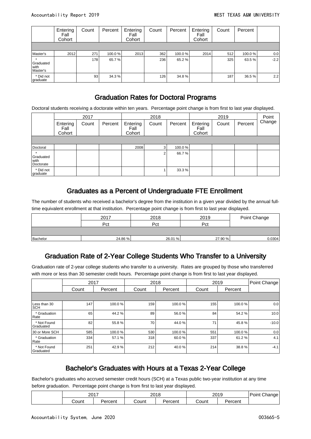|                                 | Entering<br>Fall<br>Cohort | Count | Percent | Entering<br>Fall<br>Cohort | Count | Percent | Entering<br>Fall<br>Cohort | Count | Percent |        |
|---------------------------------|----------------------------|-------|---------|----------------------------|-------|---------|----------------------------|-------|---------|--------|
|                                 |                            |       |         |                            |       |         |                            |       |         |        |
| Master's                        | 2012                       | 271   | 100.0%  | 2013                       | 362   | 100.0%  | 2014                       | 512   | 100.0 % | 0.0    |
| Graduated<br>l with<br>Master's |                            | 178   | 65.7%   |                            | 236   | 65.2 %  |                            | 325   | 63.5 %  | $-2.2$ |
| * Did not<br>graduate           |                            | 93    | 34.3 %  |                            | 126   | 34.8%   |                            | 187   | 36.5%   | 2.2    |

#### Graduation Rates for Doctoral Programs

Doctoral students receiving a doctorate within ten years. Percentage point change is from first to last year displayed.

|                                |                            | 2017  |         |                            | 2018  |         |                            | 2019  |         | Point  |
|--------------------------------|----------------------------|-------|---------|----------------------------|-------|---------|----------------------------|-------|---------|--------|
|                                | Entering<br>Fall<br>Cohort | Count | Percent | Entering<br>Fall<br>Cohort | Count | Percent | Entering<br>Fall<br>Cohort | Count | Percent | Change |
|                                |                            |       |         |                            |       |         |                            |       |         |        |
| Doctoral                       |                            |       |         | 2008                       | 3.    | 100.0%  |                            |       |         |        |
| Graduated<br>with<br>Doctorate |                            |       |         |                            |       | 66.7%   |                            |       |         |        |
| * Did not<br>graduate          |                            |       |         |                            |       | 33.3 %  |                            |       |         |        |

#### Graduates as a Percent of Undergraduate FTE Enrollment

The number of students who received a bachelor's degree from the institution in a given year divided by the annual fulltime equivalent enrollment at that institution. Percentage point change is from first to last year displayed.

|          | 2017    | 2018    | 2019    | Point Change |
|----------|---------|---------|---------|--------------|
|          | Pct     | Pct     | Pct     |              |
|          |         |         |         |              |
| Bachelor | 24.86 % | 26.01 % | 27.90 % | 0.0304       |

#### Graduation Rate of 2-Year College Students Who Transfer to a University

Graduation rate of 2-year college students who transfer to a university. Rates are grouped by those who transferred with more or less than 30 semester credit hours. Percentage point change is from first to last year displayed.

|                            | 2017  |         | 2018  |         |       | 2019    | Point Change |
|----------------------------|-------|---------|-------|---------|-------|---------|--------------|
|                            | Count | Percent | Count | Percent | Count | Percent |              |
|                            |       |         |       |         |       |         |              |
| Less than 30<br><b>SCH</b> | 147   | 100.0%  | 159   | 100.0%  | 155   | 100.0%  | 0.0          |
| * Graduation<br>Rate       | 65    | 44.2%   | 89    | 56.0%   | 84    | 54.2%   | 10.0         |
| * Not Found<br>Graduated   | 82    | 55.8%   | 70    | 44.0%   | 71    | 45.8%   | $-10.0$      |
| 30 or More SCH             | 585   | 100.0%  | 530   | 100.0%  | 551   | 100.0%  | 0.0          |
| * Graduation<br>Rate       | 334   | 57.1%   | 318   | 60.0%   | 337   | 61.2%   | 4.1          |
| * Not Found<br>Graduated   | 251   | 42.9%   | 212   | 40.0%   | 214   | 38.8%   | $-4.1$       |

#### Bachelor's Graduates with Hours at a Texas 2-Year College

Bachelor's graduates who accrued semester credit hours (SCH) at a Texas public two-year institution at any time before graduation. Percentage point change is from first to last year displayed.

| 2017  |        | 2010<br>2U. | ιc      | 2019  | Change<br>Point |  |
|-------|--------|-------------|---------|-------|-----------------|--|
| ;ount | ∗rcent | ∵ount       | ercent? | ;ount | 'ercent         |  |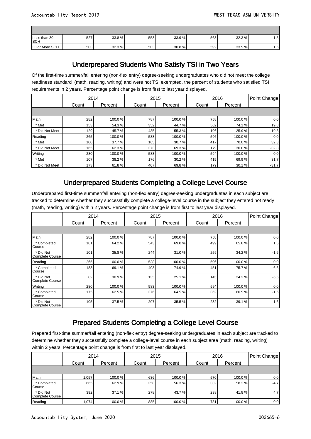| Less than 30<br><b>SCH</b> | 527 | 33.8% | 553 | 33.9 % | 563 | 32.3% | $\epsilon$<br>ه. ۱ |
|----------------------------|-----|-------|-----|--------|-----|-------|--------------------|
| 30 or More SCH             | 503 | 32.3% | 503 | 30.8%  | 592 | 33.9% | 1.6                |

#### Underprepared Students Who Satisfy TSI in Two Years

Of the first-time summer/fall entering (non-flex entry) degree-seeking undergraduates who did not meet the college readiness standard (math, reading, writing) and were not TSI exempted, the percent of students who satisfied TSI requirements in 2 years. Percentage point change is from first to last year displayed.

|                | 2014  |         |       | 2015    |       | 2016    | Point Change |
|----------------|-------|---------|-------|---------|-------|---------|--------------|
|                | Count | Percent | Count | Percent | Count | Percent |              |
|                |       |         |       |         |       |         |              |
| Math           | 282   | 100.0%  | 787   | 100.0%  | 758   | 100.0%  | 0.0          |
| * Met          | 153   | 54.3%   | 352   | 44.7%   | 562   | 74.1 %  | 19.8         |
| * Did Not Meet | 129   | 45.7%   | 435   | 55.3%   | 196   | 25.9%   | $-19.8$      |
| Reading        | 265   | 100.0%  | 538   | 100.0%  | 596   | 100.0%  | 0.0          |
| * Met          | 100   | 37.7%   | 165   | 30.7%   | 417   | 70.0%   | 32.3         |
| * Did Not Meet | 165   | 62.3%   | 373   | 69.3%   | 179   | 30.0%   | $-32.3$      |
| Writing        | 280   | 100.0%  | 583   | 100.0%  | 594   | 100.0%  | 0.0          |
| * Met          | 107   | 38.2%   | 176   | 30.2 %  | 415   | 69.9%   | 31.7         |
| * Did Not Meet | 173   | 61.8%   | 407   | 69.8%   | 179   | 30.1%   | $-31.7$      |

#### Underprepared Students Completing a College Level Course

Underprepared first-time summer/fall entering (non-flex entry) degree-seeking undergraduates in each subject are tracked to determine whether they successfully complete a college-level course in the subject they entered not ready (math, reading, writing) within 2 years. Percentage point change is from first to last year displayed.

|                                     | 2014  |         |       | 2015    | 2016  |         | Point Change |
|-------------------------------------|-------|---------|-------|---------|-------|---------|--------------|
|                                     | Count | Percent | Count | Percent | Count | Percent |              |
|                                     |       |         |       |         |       |         |              |
| Math                                | 282   | 100.0%  | 787   | 100.0%  | 758   | 100.0%  | 0.0          |
| * Completed<br>Course               | 181   | 64.2%   | 543   | 69.0%   | 499   | 65.8%   | 1.6          |
| * Did Not<br>Complete Course        | 101   | 35.8%   | 244   | 31.0%   | 259   | 34.2%   | $-1.6$       |
| Reading                             | 265   | 100.0%  | 538   | 100.0%  | 596   | 100.0%  | 0.0          |
| * Completed<br>Course               | 183   | 69.1%   | 403   | 74.9%   | 451   | 75.7%   | 6.6          |
| * Did Not<br><b>Complete Course</b> | 82    | 30.9%   | 135   | 25.1%   | 145   | 24.3%   | $-6.6$       |
| Writing                             | 280   | 100.0%  | 583   | 100.0%  | 594   | 100.0%  | 0.0          |
| * Completed<br>Course               | 175   | 62.5%   | 376   | 64.5 %  | 362   | 60.9%   | $-1.6$       |
| * Did Not<br><b>Complete Course</b> | 105   | 37.5%   | 207   | 35.5%   | 232   | 39.1 %  | 1.6          |

#### Prepared Students Completing a College Level Course

Prepared first-time summer/fall entering (non-flex entry) degree-seeking undergraduates in each subject are tracked to determine whether they successfully complete a college-level course in each subject area (math, reading, writing) within 2 years. Percentage point change is from first to last year displayed.

|                              | 2014  |         | 2015  |         |       | 2016    | Point Change |
|------------------------------|-------|---------|-------|---------|-------|---------|--------------|
|                              | Count | Percent | Count | Percent | Count | Percent |              |
|                              |       |         |       |         |       |         |              |
| Math                         | 1,057 | 100.0 % | 636   | 100.0%  | 570   | 100.0 % | 0.0          |
| * Completed<br>Course        | 665   | 62.9%   | 358   | 56.3%   | 332   | 58.2 %  | $-4.7$       |
| * Did Not<br>Complete Course | 392   | 37.1 %  | 278   | 43.7 %  | 238   | 41.8 %  | 4.7          |
| Reading                      | 1,074 | 100.0 % | 885   | 100.0%  | 731   | 100.0 % | 0.0          |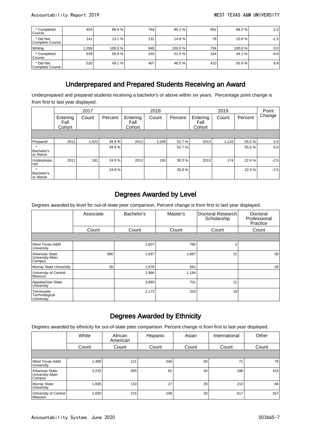| * Completed<br>Course        | 933   | 86.9%  | 754 | 85.2%  | 652 | 89.2 %  | 2.3    |
|------------------------------|-------|--------|-----|--------|-----|---------|--------|
| * Did Not<br>Complete Course | 141   | 13.1%  | 131 | 14.8%  | 79  | 10.8%   | $-2.3$ |
| Writing                      | 1.059 | 100.0% | 840 | 100.0% | 734 | 100.0 % | 0.0    |
| * Completed<br>Course        | 539   | 50.9%  | 433 | 51.5 % | 324 | 44.1 %  | $-6.8$ |
| * Did Not<br>Complete Course | 520   | 49.1 % | 407 | 48.5 % | 410 | 55.9 %  | 6.8    |

#### Underprepared and Prepared Students Receiving an Award

Underprepared and prepared students receiving a bachelor's or above within six years. Percentage point change is from first to last year displayed.

|                                   |                            | 2017  |         |                            | 2018  |         |                            | 2019  |         | Point  |
|-----------------------------------|----------------------------|-------|---------|----------------------------|-------|---------|----------------------------|-------|---------|--------|
|                                   | Entering<br>Fall<br>Cohort | Count | Percent | Entering<br>Fall<br>Cohort | Count | Percent | Entering<br>Fall<br>Cohort | Count | Percent | Change |
|                                   |                            |       |         |                            |       |         |                            |       |         |        |
| Prepared                          | 2011                       | 1,022 | 49.9%   | 2012                       | 1,049 | 52.7%   | 2013                       | 1,110 | 55.5%   | 5.6    |
| Bachelor's<br>or Above            |                            |       | 49.9%   |                            |       | 52.7%   |                            |       | 55.5%   | 5.6    |
| Underprepa<br>red                 | 2011                       | 181   | 24.9%   | 2012                       | 150   | 30.0%   | 2013                       | 174   | 22.4 %  | $-2.5$ |
| $\star$<br>Bachelor's<br>or Above |                            |       | 24.9%   |                            |       | 30.0%   |                            |       | 22.4 %  | $-2.5$ |

#### Degrees Awarded by Level

Degrees awarded by level for out-of-state peer comparison. Percent change is from first to last year displayed.

|                                                 | Associate | Bachelor's | Master's | Doctoral Research<br>Scholarship | Doctoral<br>Professional<br>Practice |
|-------------------------------------------------|-----------|------------|----------|----------------------------------|--------------------------------------|
|                                                 | Count     | Count      | Count    | Count                            | Count                                |
|                                                 |           |            |          |                                  |                                      |
| West Texas A&M<br>University                    |           | 1,607      | 765      | 2                                |                                      |
| Arkansas State<br>University-Main<br>Campus     | 586       | 1,837      | 1,687    | 21                               | 30                                   |
| Murray State University                         | 26        | 1,678      | 561      |                                  | 28                                   |
| University of Central<br>Missouri               |           | 1,994      | 1,194    |                                  |                                      |
| Appalachian State<br>University                 |           | 3,893      | 701      | 11                               |                                      |
| Tennessee<br>Technological<br><b>University</b> |           | 2,173      | 333      | 19                               |                                      |

#### Degrees Awarded by Ethnicity

Degrees awarded by ethnicity for out-of-state peer comparison. Percent change is from first to last year displayed.

|                                             | White | African<br>American | Hispanic | Asian | International | Other |
|---------------------------------------------|-------|---------------------|----------|-------|---------------|-------|
|                                             | Count | Count               | Count    | Count | Count         | Count |
|                                             |       |                     |          |       |               |       |
| West Texas A&M<br>University                | 1,480 | 121                 | 540      | 83    |               | 79    |
| Arkansas State<br>University-Main<br>Campus | 3,232 | 465                 | 81       | 34    | 196           | 153   |
| Murray State<br>University                  | 1,835 | 133                 | 27       | 20    | 210           | 84    |
| University of Central<br>l Missouri         | 2,050 | 215                 | 106      | 33    | 617           | 167   |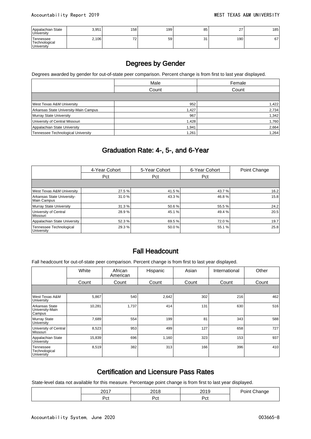| Appalachian State<br>University                  | 3,951 | 158       | 199 | 85        | 27  | 185 |
|--------------------------------------------------|-------|-----------|-----|-----------|-----|-----|
| Tennessee<br>'Technological<br><b>University</b> | 2,106 | 70<br>. د | 59  | 31<br>ا ب | 190 | 67  |

#### Degrees by Gender

Degrees awarded by gender for out-of-state peer comparison. Percent change is from first to last year displayed.

|                                           | Male  | Female |
|-------------------------------------------|-------|--------|
|                                           | Count | Count  |
|                                           |       |        |
| West Texas A&M University                 | 952   | 1,422  |
| Arkansas State University-Main Campus     | 1,427 | 2,734  |
| Murray State University                   | 967   | 1,342  |
| University of Central Missouri            | 1,428 | 1,760  |
| Appalachian State University              | 1,941 | 2,664  |
| <b>Tennessee Technological University</b> | 1,261 | 1,264  |

#### Graduation Rate: 4-, 5-, and 6-Year

|                                           | 4-Year Cohort | 5-Year Cohort | 6-Year Cohort | Point Change |
|-------------------------------------------|---------------|---------------|---------------|--------------|
|                                           | Pct           | Pct           | Pct           |              |
|                                           |               |               |               |              |
| West Texas A&M University                 | 27.5 %        | 41.5 %        | 43.7 %        | 16.2         |
| Arkansas State University-<br>Main Campus | 31.0%         | 43.3 %        | 46.8%         | 15.8         |
| Murray State University                   | 31.3%         | 50.6 %        | 55.5 %        | 24.2         |
| University of Central<br>Missouri         | 28.9%         | 45.1 %        | 49.4 %        | 20.5         |
| Appalachian State University              | 52.3 %        | 69.5 %        | 72.0 %        | 19.7         |
| Tennessee Technological<br>University     | 29.3%         | 50.0 %        | 55.1 %        | 25.8         |

#### Fall Headcount

Fall headcount for out-of-state peer comparison. Percent change is from first to last year displayed.

|                                             | White  | African<br>American | Hispanic | Asian | International | Other |
|---------------------------------------------|--------|---------------------|----------|-------|---------------|-------|
|                                             | Count  | Count               | Count    | Count | Count         | Count |
|                                             |        |                     |          |       |               |       |
| West Texas A&M<br>University                | 5,867  | 540                 | 2,642    | 302   | 216           | 462   |
| Arkansas State<br>University-Main<br>Campus | 10,281 | 1,737               | 414      | 131   | 630           | 516   |
| Murray State<br>University                  | 7,689  | 554                 | 199      | 81    | 343           | 588   |
| University of Central<br>Missouri           | 8,523  | 953                 | 499      | 127   | 658           | 727   |
| Appalachian State<br>University             | 15,839 | 696                 | 1,160    | 323   | 153           | 937   |
| Tennessee<br>Technological<br>University    | 8,519  | 382                 | 313      | 166   | 396           | 410   |

#### Certification and Licensure Pass Rates

State-level data not available for this measure. Percentage point change is from first to last year displayed.

| 0017<br>∠∪ | 0.10        | ິ<br>– ∪  | . 31 I I I<br><b>PERTIC 16</b> |
|------------|-------------|-----------|--------------------------------|
| ∽י<br>ື    | -<br>-<br>. | ⊷ת<br>ັບເ |                                |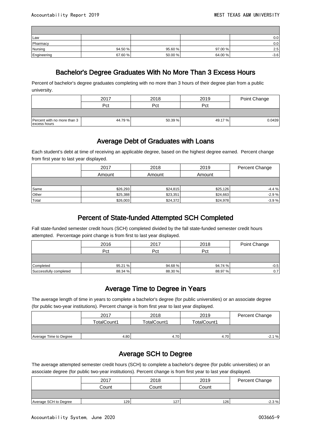| Law         |         |         |         | $0.0\,$ |
|-------------|---------|---------|---------|---------|
| Pharmacy    |         |         |         | 0.0     |
| Nursing     | 94.50 % | 95.60 % | 97.00%  | 2.5     |
| Engineering | 67.60%  | 50.00 % | 64.00 % | $-3.6$  |

#### Bachelor's Degree Graduates With No More Than 3 Excess Hours

Percent of bachelor's degree graduates completing with no more than 3 hours of their degree plan from a public university.

|                                             | 2017   | 2018    | 2019    | Point Change |
|---------------------------------------------|--------|---------|---------|--------------|
|                                             | Pct    | Pct     | Pct     |              |
|                                             |        |         |         |              |
| Percent with no more than 3<br>excess hours | 44.79% | 50.39 % | 49.17 % | 0.0439       |

#### Average Debt of Graduates with Loans

Each student's debt at time of receiving an applicable degree, based on the highest degree earned. Percent change from first year to last year displayed.

|       | 2017     | 2018     | 2019     | Percent Change |
|-------|----------|----------|----------|----------------|
|       | Amount   | Amount   | Amount   |                |
|       |          |          |          |                |
| Same  | \$26,293 | \$24,815 | \$25,126 | $-4.4%$        |
| Other | \$25,388 | \$23,351 | \$24,663 | $-2.9%$        |
| Total | \$26,003 | \$24,372 | \$24,978 | $-3.9%$        |

#### Percent of State-funded Attempted SCH Completed

Fall state-funded semester credit hours (SCH) completed divided by the fall state-funded semester credit hours attempted. Percentage point change is from first to last year displayed.

|                        | 2016    | 2017    | 2018    | Point Change |
|------------------------|---------|---------|---------|--------------|
|                        | Pct     | Pct     | Pct     |              |
|                        |         |         |         |              |
| Completed              | 95.21 % | 94.68%  | 94.74 % | $-0.5$       |
| Successfully completed | 88.34 % | 88.30 % | 88.97 % | 0.7          |

#### Average Time to Degree in Years

The average length of time in years to complete a bachelor's degree (for public universities) or an associate degree (for public two-year institutions). Percent change is from first year to last year displayed.

|                        | 2017        | 2018        | 2019        | Percent Change |
|------------------------|-------------|-------------|-------------|----------------|
|                        | TotalCount1 | TotalCount1 | TotalCount1 |                |
|                        |             |             |             |                |
| Average Time to Degree | 4.80        | 4.70        | 4.70        | $-2.1%$        |

#### Average SCH to Degree

The average attempted semester credit hours (SCH) to complete a bachelor's degree (for public universities) or an associate degree (for public two-year institutions). Percent change is from first year to last year displayed.

|                       | 2017             | 2018  | 2019  | Percent Change |
|-----------------------|------------------|-------|-------|----------------|
|                       | Count            | Count | Count |                |
|                       |                  |       |       |                |
| Average SCH to Degree | 129 <sup>1</sup> | 127   | 126   | $-2.3%$        |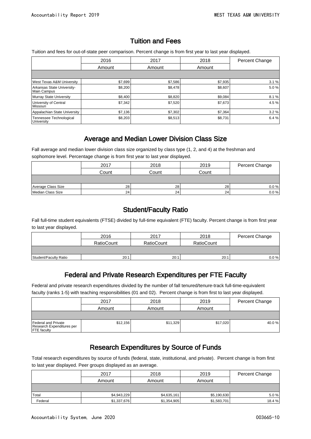#### Tuition and Fees

Tuition and fees for out-of-state peer comparison. Percent change is from first year to last year displayed.

|                                           | 2016    | 2017    | 2018    | <b>Percent Change</b> |
|-------------------------------------------|---------|---------|---------|-----------------------|
|                                           | Amount  | Amount  | Amount  |                       |
|                                           |         |         |         |                       |
| <b>West Texas A&amp;M University</b>      | \$7,699 | \$7,586 | \$7,935 | 3.1%                  |
| Arkansas State University-<br>Main Campus | \$8,200 | \$8,478 | \$8,607 | 5.0%                  |
| Murray State University                   | \$8,400 | \$8,820 | \$9.084 | 8.1%                  |
| University of Central<br><i>Missouri</i>  | \$7,342 | \$7,520 | \$7,673 | 4.5%                  |
| Appalachian State University              | \$7,136 | \$7,302 | \$7,364 | 3.2%                  |
| Tennessee Technological<br>University     | \$8,203 | \$8,513 | \$8,731 | 6.4%                  |

#### Average and Median Lower Division Class Size

Fall average and median lower division class size organized by class type (1, 2, and 4) at the freshman and sophomore level. Percentage change is from first year to last year displayed.

|                    | 2017  | 2018  | 2019  | Percent Change |
|--------------------|-------|-------|-------|----------------|
|                    | Count | Count | Count |                |
|                    |       |       |       |                |
| Average Class Size | 28    | 28    | 28    | 0.0 %          |
| Median Class Size  | 24    | 24    | 24    | 0.0 %          |

#### Student/Faculty Ratio

Fall full-time student equivalents (FTSE) divided by full-time equivalent (FTE) faculty. Percent change is from first year to last year displayed.

|                       | 2016              | 2017       | 2018              | Percent Change |
|-----------------------|-------------------|------------|-------------------|----------------|
|                       | <b>RatioCount</b> | RatioCount | <b>RatioCount</b> |                |
|                       |                   |            |                   |                |
| Student/Faculty Ratio | 20:1              | 20:1       | 20:1              | $0.0 \%$       |

#### Federal and Private Research Expenditures per FTE Faculty

Federal and private research expenditures divided by the number of fall tenured/tenure-track full-time-equivalent faculty (ranks 1-5) with teaching responsibilities (01 and 02). Percent change is from first to last year displayed.

|                                                                        | 2017     | 2018     | 2019     | Percent Change |
|------------------------------------------------------------------------|----------|----------|----------|----------------|
|                                                                        | Amount   | Amount   | Amount   |                |
|                                                                        |          |          |          |                |
| Federal and Private<br>Research Expenditures per<br><b>FTE</b> faculty | \$12,156 | \$11,329 | \$17,020 | 40.0 %         |

#### Research Expenditures by Source of Funds

Total research expenditures by source of funds (federal, state, institutional, and private). Percent change is from first to last year displayed. Peer groups displayed as an average.

|         | 2017        | 2018        | 2019        | Percent Change |
|---------|-------------|-------------|-------------|----------------|
|         | Amount      | Amount      | Amount      |                |
|         |             |             |             |                |
| Total   | \$4,943,229 | \$4,635,161 | \$5,190,630 | 5.0%           |
| Federal | \$1,337,676 | \$1,354,905 | \$1,583,701 | 18.4%          |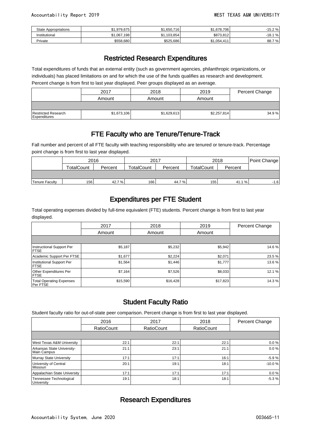| State Appropriations | .979.675<br>ሖ<br>$-1$ | ا 650,716,<br>Ψ. | \$1.678.706 | $-15.2%$        |
|----------------------|-----------------------|------------------|-------------|-----------------|
| Institutional        | .067.198<br>ሖ<br>ن س  | \$1,103,854      | \$873.812   | $-18.1$<br>$\%$ |
| Private              | \$558,680             | \$525,686        | \$1,054,411 | 88.7<br>7 %     |

#### Restricted Research Expenditures

Total expenditures of funds that an external entity (such as government agencies, philanthropic organizations, or individuals) has placed limitations on and for which the use of the funds qualifies as research and development. Percent change is from first to last year displayed. Peer groups displayed as an average.

|                                     | 2017        | 2018        | 2019        | Percent Change |
|-------------------------------------|-------------|-------------|-------------|----------------|
|                                     | Amount      | Amount      | Amount      |                |
|                                     |             |             |             |                |
| Restricted Research<br>Expenditures | \$1,673,106 | \$1,629,613 | \$2,257,814 | 34.9%          |

#### FTE Faculty who are Tenure/Tenure-Track

Fall number and percent of all FTE faculty with teaching responsibility who are tenured or tenure-track. Percentage point change is from first to last year displayed.

|                       | 2016              |         | 2017              |         | 2018              |         | Point Change |
|-----------------------|-------------------|---------|-------------------|---------|-------------------|---------|--------------|
|                       | <b>TotalCount</b> | Percent | <b>TotalCount</b> | Percent | <b>TotalCount</b> | Percent |              |
|                       |                   |         |                   |         |                   |         |              |
| <b>Tenure Faculty</b> | 156               | 42.7%   | 166               | 44.7%   | 155               | 41.1 %  | $-1.6$       |

#### Expenditures per FTE Student

Total operating expenses divided by full-time equivalent (FTE) students. Percent change is from first to last year displayed.

|                                                    | 2017     | 2018     | 2019     | Percent Change |
|----------------------------------------------------|----------|----------|----------|----------------|
|                                                    | Amount   | Amount   | Amount   |                |
|                                                    |          |          |          |                |
| Instructional Support Per<br><b>IFTSE</b>          | \$5,187  | \$5,232  | \$5,942  | 14.6 %         |
| Academic Support Per FTSE                          | \$1,677  | \$2,224  | \$2,071  | 23.5%          |
| Institutional Support Per<br><b>FTSE</b>           | \$1,564  | \$1,446  | \$1,777  | 13.6%          |
| <b>Other Expenditures Per</b><br><b>IFTSE</b>      | \$7,164  | \$7,526  | \$8,033  | 12.1%          |
| <b>Total Operating Expenses</b><br><b>Per FTSE</b> | \$15,590 | \$16,428 | \$17,823 | 14.3%          |

#### Student Faculty Ratio

Student faculty ratio for out-of-state peer comparison. Percent change is from first to last year displayed.

|                                           | 2016              | 2017              | 2018              | Percent Change |
|-------------------------------------------|-------------------|-------------------|-------------------|----------------|
|                                           | <b>RatioCount</b> | <b>RatioCount</b> | <b>RatioCount</b> |                |
|                                           |                   |                   |                   |                |
| West Texas A&M University                 | 22:1              | 22:1              | 22:1              | 0.0%           |
| Arkansas State University-<br>Main Campus | 21:1              | 23:1              | 21:1              | 0.0%           |
| Murray State University                   | 17:1              | 17:1              | 16:1              | $-5.9%$        |
| University of Central<br>l Missouri       | 20:1              | 19:1              | 18:1              | $-10.0%$       |
| Appalachian State University              | 17:1              | 17:1              | 17:1              | 0.0%           |
| Tennessee Technological<br>University     | 19:1              | 18:1              | 18:1              | $-5.3%$        |

#### Research Expenditures